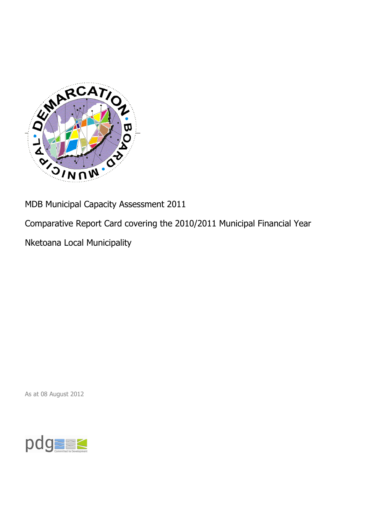

MDB Municipal Capacity Assessment 2011

Comparative Report Card covering the 2010/2011 Municipal Financial Year

Nketoana Local Municipality

As at 08 August 2012

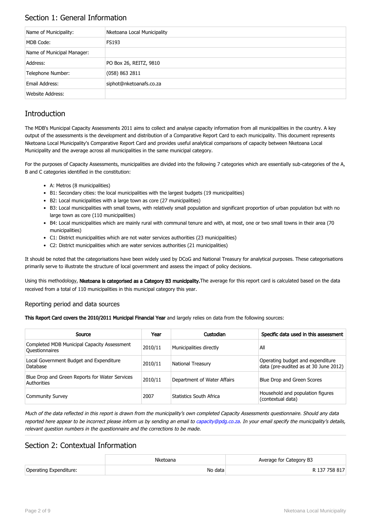## Section 1: General Information

| Name of Municipality:      | Nketoana Local Municipality |
|----------------------------|-----------------------------|
| MDB Code:                  | <b>FS193</b>                |
| Name of Municipal Manager: |                             |
| Address:                   | PO Box 26, REITZ, 9810      |
| Telephone Number:          | (058) 863 2811              |
| Email Address:             | siphot@nketoanafs.co.za     |
| Website Address:           |                             |

# **Introduction**

The MDB's Municipal Capacity Assessments 2011 aims to collect and analyse capacity information from all municipalities in the country. A key output of the assessments is the development and distribution of a Comparative Report Card to each municipality. This document represents Nketoana Local Municipality's Comparative Report Card and provides useful analytical comparisons of capacity between Nketoana Local Municipality and the average across all municipalities in the same municipal category.

For the purposes of Capacity Assessments, municipalities are divided into the following 7 categories which are essentially sub-categories of the A, B and C categories identified in the constitution:

- A: Metros (8 municipalities)
- B1: Secondary cities: the local municipalities with the largest budgets (19 municipalities)
- B2: Local municipalities with a large town as core (27 municipalities)
- B3: Local municipalities with small towns, with relatively small population and significant proportion of urban population but with no large town as core (110 municipalities)
- B4: Local municipalities which are mainly rural with communal tenure and with, at most, one or two small towns in their area (70 municipalities)
- C1: District municipalities which are not water services authorities (23 municipalities)
- C2: District municipalities which are water services authorities (21 municipalities)

It should be noted that the categorisations have been widely used by DCoG and National Treasury for analytical purposes. These categorisations primarily serve to illustrate the structure of local government and assess the impact of policy decisions.

Using this methodology, Nketoana is categorised as a Category B3 municipality. The average for this report card is calculated based on the data received from a total of 110 municipalities in this municipal category this year.

#### Reporting period and data sources

This Report Card covers the 2010/2011 Municipal Financial Year and largely relies on data from the following sources:

| Source                                                               | Year    | Custodian                   | Specific data used in this assessment                                     |
|----------------------------------------------------------------------|---------|-----------------------------|---------------------------------------------------------------------------|
| Completed MDB Municipal Capacity Assessment<br><b>Ouestionnaires</b> | 2010/11 | Municipalities directly     | All                                                                       |
| Local Government Budget and Expenditure<br>Database                  | 2010/11 | <b>National Treasury</b>    | Operating budget and expenditure<br>data (pre-audited as at 30 June 2012) |
| Blue Drop and Green Reports for Water Services<br>Authorities        | 2010/11 | Department of Water Affairs | Blue Drop and Green Scores                                                |
| <b>Community Survey</b>                                              | 2007    | Statistics South Africa     | Household and population figures<br>(contextual data)                     |

Much of the data reflected in this report is drawn from the municipality's own completed Capacity Assessments questionnaire. Should any data reported here appear to be incorrect please inform us by sending an email to [capacity@pdg.co.za](mailto:capacity@pdg.co.za). In your email specify the municipality's details, relevant question numbers in the questionnaire and the corrections to be made.

### Section 2: Contextual Information

|                        | Nketoana | Average for Category B3 |
|------------------------|----------|-------------------------|
| Operating Expenditure: | No data  | R 137 758 817           |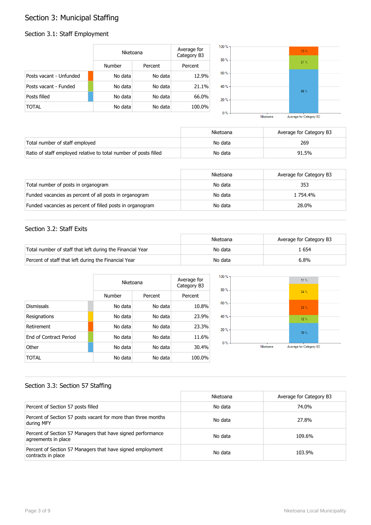# Section 3: Municipal Staffing

#### Section 3.1: Staff Employment

|                         | Nketoana      |         | Average for<br>Category B3 |
|-------------------------|---------------|---------|----------------------------|
|                         | <b>Number</b> | Percent | Percent                    |
| Posts vacant - Unfunded | No data       | No data | 12.9%                      |
| Posts vacant - Funded   | No data       | No data | 21.1%                      |
| Posts filled            | No data       | No data | 66.0%                      |
| TOTAL                   | No data       | No data | 100.0%                     |



|                                                                  | Nketoana | Average for Category B3 |
|------------------------------------------------------------------|----------|-------------------------|
| Total number of staff employed                                   | No data  | 269                     |
| Ratio of staff employed relative to total number of posts filled | No data  | 91.5%                   |

|                                                           | Nketoana | Average for Category B3 |
|-----------------------------------------------------------|----------|-------------------------|
| Total number of posts in organogram                       | No data  | 353                     |
| Funded vacancies as percent of all posts in organogram    | No data  | 1 754.4%                |
| Funded vacancies as percent of filled posts in organogram | No data  | 28.0%                   |

#### Section 3.2: Staff Exits

|                                                           | Nketoana | Average for Category B3 |
|-----------------------------------------------------------|----------|-------------------------|
| Total number of staff that left during the Financial Year | No data  | . 654                   |
| Percent of staff that left during the Financial Year      | No data  | 6.8%                    |

|                               |         | Nketoana |         |
|-------------------------------|---------|----------|---------|
|                               | Number  | Percent  | Percent |
| <b>Dismissals</b>             | No data | No data  | 10.8%   |
| Resignations                  | No data | No data  | 23.9%   |
| Retirement                    | No data | No data  | 23.3%   |
| <b>Fnd of Contract Period</b> | No data | No data  | 11.6%   |
| Other                         | No data | No data  | 30.4%   |
| TOTAL                         | No data | No data  | 100.0%  |



#### Section 3.3: Section 57 Staffing

|                                                                                    | Nketoana | Average for Category B3 |
|------------------------------------------------------------------------------------|----------|-------------------------|
| Percent of Section 57 posts filled                                                 | No data  | 74.0%                   |
| Percent of Section 57 posts vacant for more than three months<br>during MFY        | No data  | 27.8%                   |
| Percent of Section 57 Managers that have signed performance<br>agreements in place | No data  | 109.6%                  |
| Percent of Section 57 Managers that have signed employment<br>contracts in place   | No data  | 103.9%                  |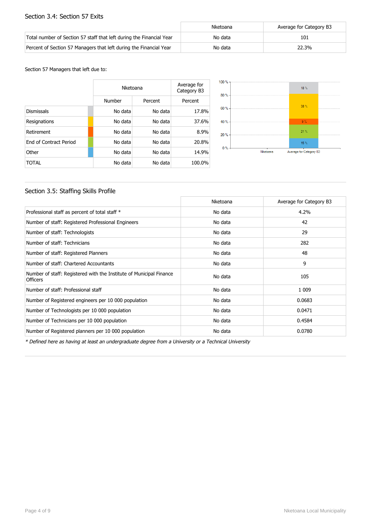#### Section 3.4: Section 57 Exits

|                                                                      | Nketoana | Average for Category B3 |
|----------------------------------------------------------------------|----------|-------------------------|
| Total number of Section 57 staff that left during the Financial Year | No data  | 101                     |
| Percent of Section 57 Managers that left during the Financial Year   | No data  | 22.3%                   |

Section 57 Managers that left due to:

|                        | Nketoana |         | Average for<br>Category B3 |
|------------------------|----------|---------|----------------------------|
|                        | Number   | Percent | Percent                    |
| <b>Dismissals</b>      | No data  | No data | 17.8%                      |
| Resignations           | No data  | No data | 37.6%                      |
| Retirement             | No data  | No data | 8.9%                       |
| End of Contract Period | No data  | No data | 20.8%                      |
| Other                  | No data  | No data | 14.9%                      |
| TOTAL                  | No data  | No data | 100.0%                     |



#### Section 3.5: Staffing Skills Profile

|                                                                                        | Nketoana | Average for Category B3 |
|----------------------------------------------------------------------------------------|----------|-------------------------|
| Professional staff as percent of total staff *                                         | No data  | 4.2%                    |
| Number of staff: Registered Professional Engineers                                     | No data  | 42                      |
| Number of staff: Technologists                                                         | No data  | 29                      |
| Number of staff: Technicians                                                           | No data  | 282                     |
| Number of staff: Registered Planners                                                   | No data  | 48                      |
| Number of staff: Chartered Accountants                                                 | No data  | 9                       |
| Number of staff: Registered with the Institute of Municipal Finance<br><b>Officers</b> | No data  | 105                     |
| Number of staff: Professional staff                                                    | No data  | 1 0 0 9                 |
| Number of Registered engineers per 10 000 population                                   | No data  | 0.0683                  |
| Number of Technologists per 10 000 population                                          | No data  | 0.0471                  |
| Number of Technicians per 10 000 population                                            | No data  | 0.4584                  |
| Number of Registered planners per 10 000 population                                    | No data  | 0.0780                  |

\* Defined here as having at least an undergraduate degree from a University or a Technical University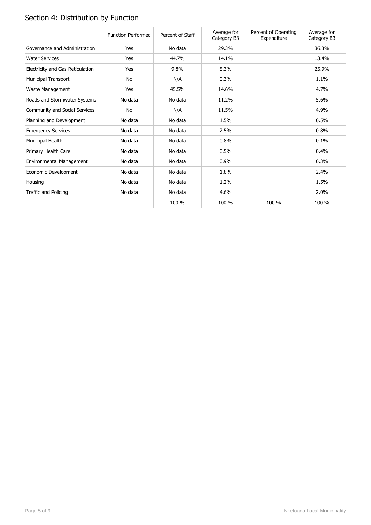# Section 4: Distribution by Function

|                                  | <b>Function Performed</b> | Percent of Staff | Average for<br>Category B3 | Percent of Operating<br>Expenditure | Average for<br>Category B3 |
|----------------------------------|---------------------------|------------------|----------------------------|-------------------------------------|----------------------------|
| Governance and Administration    | Yes                       | No data          | 29.3%                      |                                     | 36.3%                      |
| <b>Water Services</b>            | Yes                       | 44.7%            | 14.1%                      |                                     | 13.4%                      |
| Electricity and Gas Reticulation | Yes                       | 9.8%             | 5.3%                       |                                     | 25.9%                      |
| <b>Municipal Transport</b>       | No                        | N/A              | 0.3%                       |                                     | 1.1%                       |
| Waste Management                 | Yes                       | 45.5%            | 14.6%                      |                                     | 4.7%                       |
| Roads and Stormwater Systems     | No data                   | No data          | 11.2%                      |                                     | 5.6%                       |
| Community and Social Services    | No                        | N/A              | 11.5%                      |                                     | 4.9%                       |
| Planning and Development         | No data                   | No data          | 1.5%                       |                                     | 0.5%                       |
| <b>Emergency Services</b>        | No data                   | No data          | 2.5%                       |                                     | 0.8%                       |
| Municipal Health                 | No data                   | No data          | 0.8%                       |                                     | 0.1%                       |
| Primary Health Care              | No data                   | No data          | 0.5%                       |                                     | 0.4%                       |
| Environmental Management         | No data                   | No data          | 0.9%                       |                                     | 0.3%                       |
| Economic Development             | No data                   | No data          | 1.8%                       |                                     | 2.4%                       |
| Housing                          | No data                   | No data          | 1.2%                       |                                     | 1.5%                       |
| Traffic and Policing             | No data                   | No data          | 4.6%                       |                                     | 2.0%                       |
|                                  |                           | 100 %            | 100 %                      | 100 %                               | 100 %                      |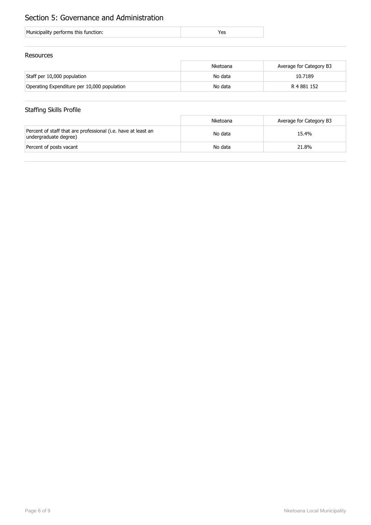# Section 5: Governance and Administration

| Municipality performs this function: |  |
|--------------------------------------|--|
|                                      |  |

#### Resources

|                                             | Nketoana | Average for Category B3 |
|---------------------------------------------|----------|-------------------------|
| Staff per 10,000 population                 | No data  | 10.7189                 |
| Operating Expenditure per 10,000 population | No data  | R 4 881 152             |

## Staffing Skills Profile

|                                                                                        | Nketoana | Average for Category B3 |
|----------------------------------------------------------------------------------------|----------|-------------------------|
| Percent of staff that are professional (i.e. have at least an<br>undergraduate degree) | No data  | 15.4%                   |
| Percent of posts vacant                                                                | No data  | 21.8%                   |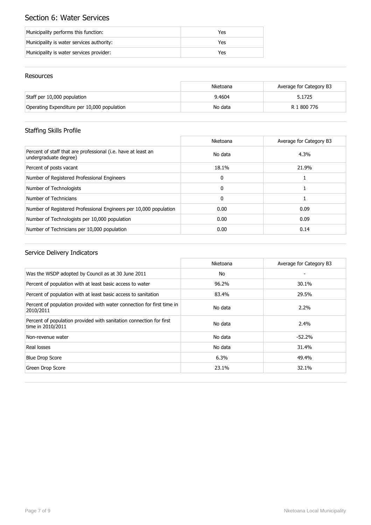# Section 6: Water Services

| Municipality performs this function:      | Yes |
|-------------------------------------------|-----|
| Municipality is water services authority: | Yes |
| Municipality is water services provider:  | Yes |

#### Resources

|                                             | Nketoana | Average for Category B3 |
|---------------------------------------------|----------|-------------------------|
| Staff per 10,000 population                 | 9.4604   | 5.1725                  |
| Operating Expenditure per 10,000 population | No data  | R 1 800 776             |

# Staffing Skills Profile

|                                                                                        | Nketoana     | Average for Category B3 |
|----------------------------------------------------------------------------------------|--------------|-------------------------|
| Percent of staff that are professional (i.e. have at least an<br>undergraduate degree) | No data      | 4.3%                    |
| Percent of posts vacant                                                                | 18.1%        | 21.9%                   |
| Number of Registered Professional Engineers                                            | $\mathbf{0}$ |                         |
| Number of Technologists                                                                | $\mathbf{0}$ |                         |
| Number of Technicians                                                                  | $\mathbf{0}$ |                         |
| Number of Registered Professional Engineers per 10,000 population                      | 0.00         | 0.09                    |
| Number of Technologists per 10,000 population                                          | 0.00         | 0.09                    |
| Number of Technicians per 10,000 population                                            | 0.00         | 0.14                    |

## Service Delivery Indicators

|                                                                                          | Nketoana | Average for Category B3 |
|------------------------------------------------------------------------------------------|----------|-------------------------|
| Was the WSDP adopted by Council as at 30 June 2011                                       | No       |                         |
| Percent of population with at least basic access to water                                | 96.2%    | 30.1%                   |
| Percent of population with at least basic access to sanitation                           | 83.4%    | 29.5%                   |
| Percent of population provided with water connection for first time in<br>2010/2011      | No data  | $2.2\%$                 |
| Percent of population provided with sanitation connection for first<br>time in 2010/2011 | No data  | $2.4\%$                 |
| Non-revenue water                                                                        | No data  | $-52.2%$                |
| Real losses                                                                              | No data  | 31.4%                   |
| <b>Blue Drop Score</b>                                                                   | 6.3%     | 49.4%                   |
| Green Drop Score                                                                         | 23.1%    | 32.1%                   |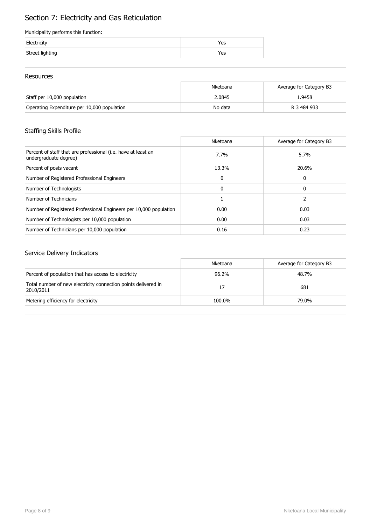# Section 7: Electricity and Gas Reticulation

#### Municipality performs this function:

| Electricity     | 'es |
|-----------------|-----|
| Street lighting | res |

#### Resources

|                                             | Nketoana | Average for Category B3 |
|---------------------------------------------|----------|-------------------------|
| Staff per 10,000 population                 | 2.0845   | 1.9458                  |
| Operating Expenditure per 10,000 population | No data  | R 3 484 933             |

## Staffing Skills Profile

|                                                                                        | Nketoana | Average for Category B3 |
|----------------------------------------------------------------------------------------|----------|-------------------------|
| Percent of staff that are professional (i.e. have at least an<br>undergraduate degree) | 7.7%     | 5.7%                    |
| Percent of posts vacant                                                                | 13.3%    | 20.6%                   |
| Number of Registered Professional Engineers                                            | 0        | 0                       |
| Number of Technologists                                                                | 0        | 0                       |
| Number of Technicians                                                                  |          |                         |
| Number of Registered Professional Engineers per 10,000 population                      | 0.00     | 0.03                    |
| Number of Technologists per 10,000 population                                          | 0.00     | 0.03                    |
| Number of Technicians per 10,000 population                                            | 0.16     | 0.23                    |

## Service Delivery Indicators

|                                                                             | Nketoana | Average for Category B3 |
|-----------------------------------------------------------------------------|----------|-------------------------|
| Percent of population that has access to electricity                        | 96.2%    | 48.7%                   |
| Total number of new electricity connection points delivered in<br>2010/2011 | 17       | 681                     |
| Metering efficiency for electricity                                         | 100.0%   | 79.0%                   |